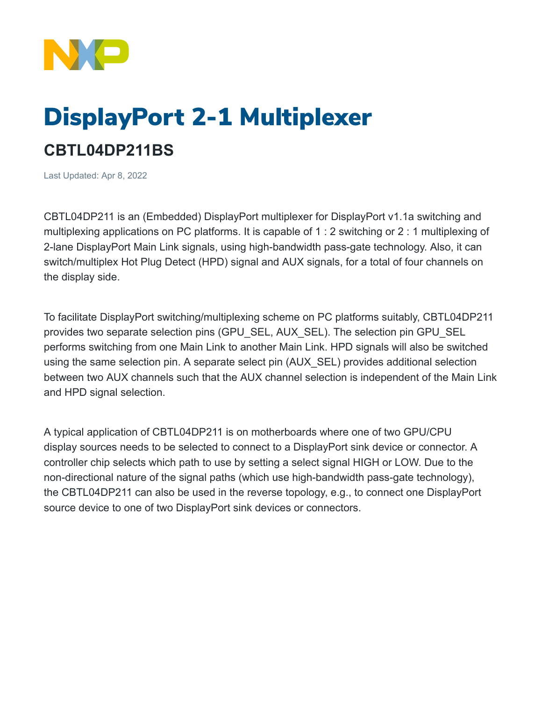

## DisplayPort 2-1 Multiplexer **CBTL04DP211BS**

Last Updated: Apr 8, 2022

CBTL04DP211 is an (Embedded) DisplayPort multiplexer for DisplayPort v1.1a switching and multiplexing applications on PC platforms. It is capable of 1 : 2 switching or 2 : 1 multiplexing of 2-lane DisplayPort Main Link signals, using high-bandwidth pass-gate technology. Also, it can switch/multiplex Hot Plug Detect (HPD) signal and AUX signals, for a total of four channels on the display side.

To facilitate DisplayPort switching/multiplexing scheme on PC platforms suitably, CBTL04DP211 provides two separate selection pins (GPU\_SEL, AUX\_SEL). The selection pin GPU\_SEL performs switching from one Main Link to another Main Link. HPD signals will also be switched using the same selection pin. A separate select pin (AUX\_SEL) provides additional selection between two AUX channels such that the AUX channel selection is independent of the Main Link and HPD signal selection.

A typical application of CBTL04DP211 is on motherboards where one of two GPU/CPU display sources needs to be selected to connect to a DisplayPort sink device or connector. A controller chip selects which path to use by setting a select signal HIGH or LOW. Due to the non-directional nature of the signal paths (which use high-bandwidth pass-gate technology), the CBTL04DP211 can also be used in the reverse topology, e.g., to connect one DisplayPort source device to one of two DisplayPort sink devices or connectors.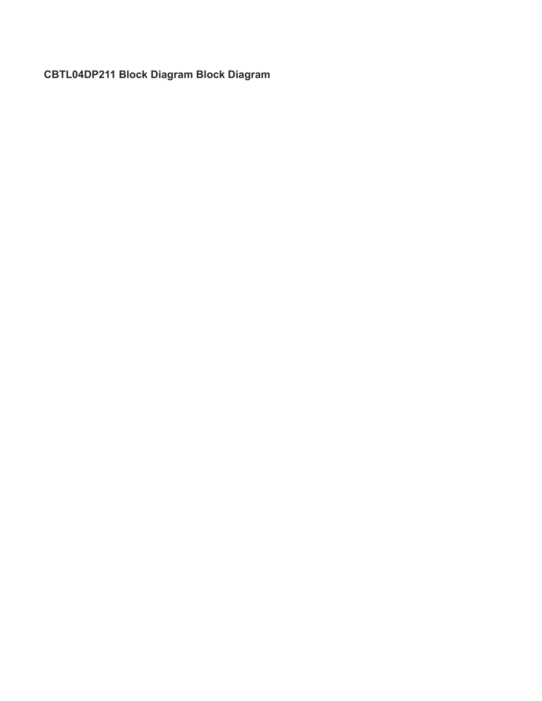**CBTL04DP211 Block Diagram Block Diagram**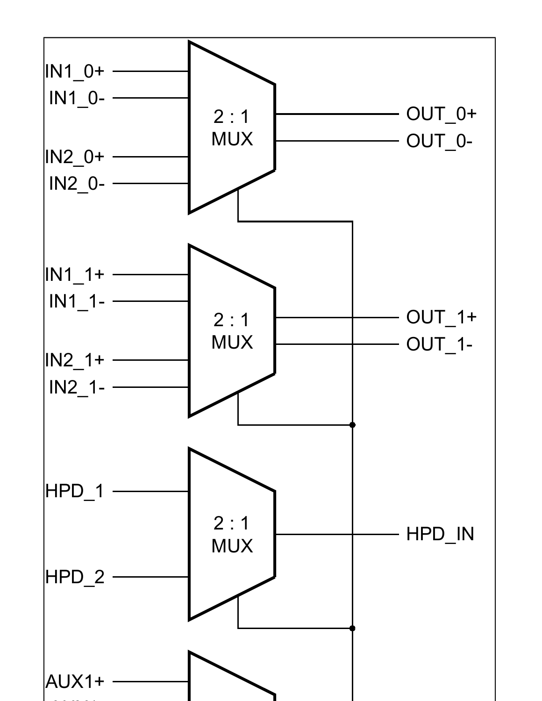